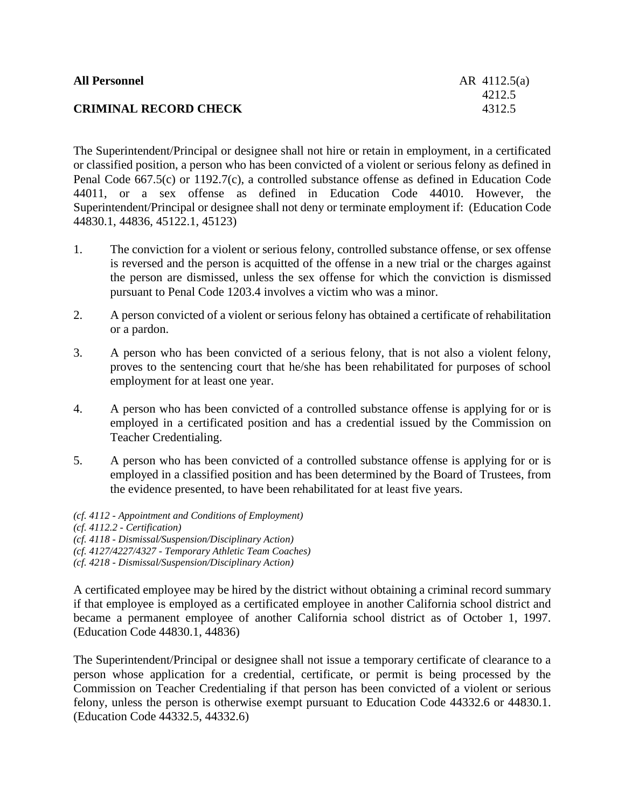| <b>All Personnel</b>         | AR $4112.5(a)$ |
|------------------------------|----------------|
|                              | 4212.5         |
| <b>CRIMINAL RECORD CHECK</b> | 4312.5         |

The Superintendent/Principal or designee shall not hire or retain in employment, in a certificated or classified position, a person who has been convicted of a violent or serious felony as defined in Penal Code 667.5(c) or 1192.7(c), a controlled substance offense as defined in Education Code 44011, or a sex offense as defined in Education Code 44010. However, the Superintendent/Principal or designee shall not deny or terminate employment if: (Education Code 44830.1, 44836, 45122.1, 45123)

- 1. The conviction for a violent or serious felony, controlled substance offense, or sex offense is reversed and the person is acquitted of the offense in a new trial or the charges against the person are dismissed, unless the sex offense for which the conviction is dismissed pursuant to Penal Code 1203.4 involves a victim who was a minor.
- 2. A person convicted of a violent or serious felony has obtained a certificate of rehabilitation or a pardon.
- 3. A person who has been convicted of a serious felony, that is not also a violent felony, proves to the sentencing court that he/she has been rehabilitated for purposes of school employment for at least one year.
- 4. A person who has been convicted of a controlled substance offense is applying for or is employed in a certificated position and has a credential issued by the Commission on Teacher Credentialing.
- 5. A person who has been convicted of a controlled substance offense is applying for or is employed in a classified position and has been determined by the Board of Trustees, from the evidence presented, to have been rehabilitated for at least five years.
- *(cf. 4112 - Appointment and Conditions of Employment) (cf. 4112.2 - Certification) (cf. 4118 - Dismissal/Suspension/Disciplinary Action)*
- *(cf. 4127/4227/4327 - Temporary Athletic Team Coaches)*
- *(cf. 4218 - Dismissal/Suspension/Disciplinary Action)*

A certificated employee may be hired by the district without obtaining a criminal record summary if that employee is employed as a certificated employee in another California school district and became a permanent employee of another California school district as of October 1, 1997. (Education Code 44830.1, 44836)

The Superintendent/Principal or designee shall not issue a temporary certificate of clearance to a person whose application for a credential, certificate, or permit is being processed by the Commission on Teacher Credentialing if that person has been convicted of a violent or serious felony, unless the person is otherwise exempt pursuant to Education Code 44332.6 or 44830.1. (Education Code 44332.5, 44332.6)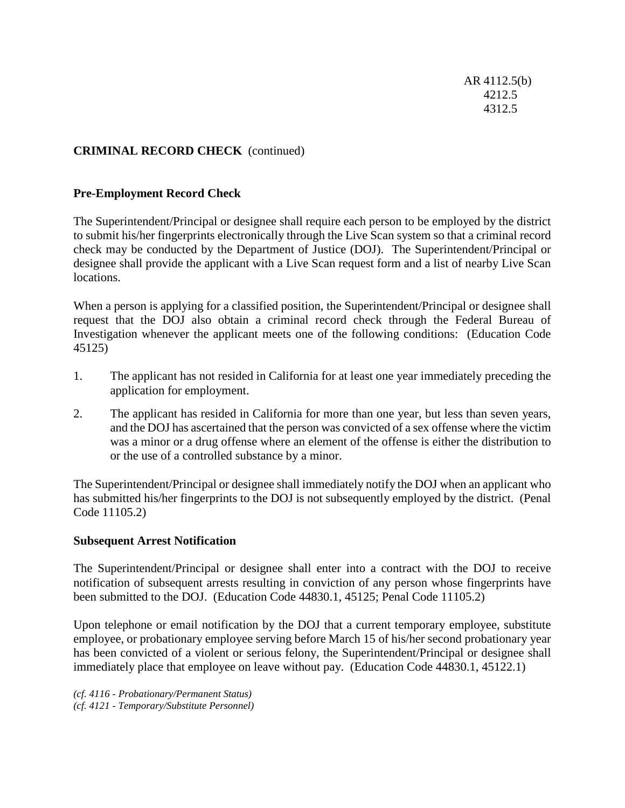AR 4112.5(b) 4212.5 4312.5

# **CRIMINAL RECORD CHECK** (continued)

### **Pre-Employment Record Check**

The Superintendent/Principal or designee shall require each person to be employed by the district to submit his/her fingerprints electronically through the Live Scan system so that a criminal record check may be conducted by the Department of Justice (DOJ). The Superintendent/Principal or designee shall provide the applicant with a Live Scan request form and a list of nearby Live Scan locations.

When a person is applying for a classified position, the Superintendent/Principal or designee shall request that the DOJ also obtain a criminal record check through the Federal Bureau of Investigation whenever the applicant meets one of the following conditions: (Education Code 45125)

- 1. The applicant has not resided in California for at least one year immediately preceding the application for employment.
- 2. The applicant has resided in California for more than one year, but less than seven years, and the DOJ has ascertained that the person was convicted of a sex offense where the victim was a minor or a drug offense where an element of the offense is either the distribution to or the use of a controlled substance by a minor.

The Superintendent/Principal or designee shall immediately notify the DOJ when an applicant who has submitted his/her fingerprints to the DOJ is not subsequently employed by the district. (Penal Code 11105.2)

#### **Subsequent Arrest Notification**

The Superintendent/Principal or designee shall enter into a contract with the DOJ to receive notification of subsequent arrests resulting in conviction of any person whose fingerprints have been submitted to the DOJ. (Education Code 44830.1, 45125; Penal Code 11105.2)

Upon telephone or email notification by the DOJ that a current temporary employee, substitute employee, or probationary employee serving before March 15 of his/her second probationary year has been convicted of a violent or serious felony, the Superintendent/Principal or designee shall immediately place that employee on leave without pay. (Education Code 44830.1, 45122.1)

*(cf. 4116 - Probationary/Permanent Status) (cf. 4121 - Temporary/Substitute Personnel)*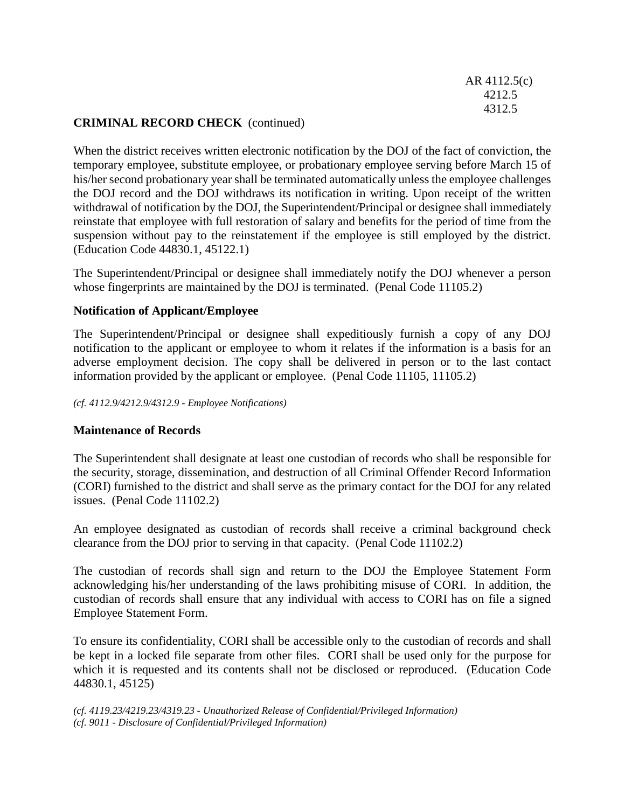AR 4112.5(c) 4212.5 4312.5

## **CRIMINAL RECORD CHECK** (continued)

When the district receives written electronic notification by the DOJ of the fact of conviction, the temporary employee, substitute employee, or probationary employee serving before March 15 of his/her second probationary year shall be terminated automatically unless the employee challenges the DOJ record and the DOJ withdraws its notification in writing. Upon receipt of the written withdrawal of notification by the DOJ, the Superintendent/Principal or designee shall immediately reinstate that employee with full restoration of salary and benefits for the period of time from the suspension without pay to the reinstatement if the employee is still employed by the district. (Education Code 44830.1, 45122.1)

The Superintendent/Principal or designee shall immediately notify the DOJ whenever a person whose fingerprints are maintained by the DOJ is terminated. (Penal Code 11105.2)

### **Notification of Applicant/Employee**

The Superintendent/Principal or designee shall expeditiously furnish a copy of any DOJ notification to the applicant or employee to whom it relates if the information is a basis for an adverse employment decision. The copy shall be delivered in person or to the last contact information provided by the applicant or employee. (Penal Code 11105, 11105.2)

#### *(cf. 4112.9/4212.9/4312.9 - Employee Notifications)*

#### **Maintenance of Records**

The Superintendent shall designate at least one custodian of records who shall be responsible for the security, storage, dissemination, and destruction of all Criminal Offender Record Information (CORI) furnished to the district and shall serve as the primary contact for the DOJ for any related issues. (Penal Code 11102.2)

An employee designated as custodian of records shall receive a criminal background check clearance from the DOJ prior to serving in that capacity. (Penal Code 11102.2)

The custodian of records shall sign and return to the DOJ the Employee Statement Form acknowledging his/her understanding of the laws prohibiting misuse of CORI. In addition, the custodian of records shall ensure that any individual with access to CORI has on file a signed Employee Statement Form.

To ensure its confidentiality, CORI shall be accessible only to the custodian of records and shall be kept in a locked file separate from other files. CORI shall be used only for the purpose for which it is requested and its contents shall not be disclosed or reproduced. (Education Code 44830.1, 45125)

*(cf. 4119.23/4219.23/4319.23 - Unauthorized Release of Confidential/Privileged Information) (cf. 9011 - Disclosure of Confidential/Privileged Information)*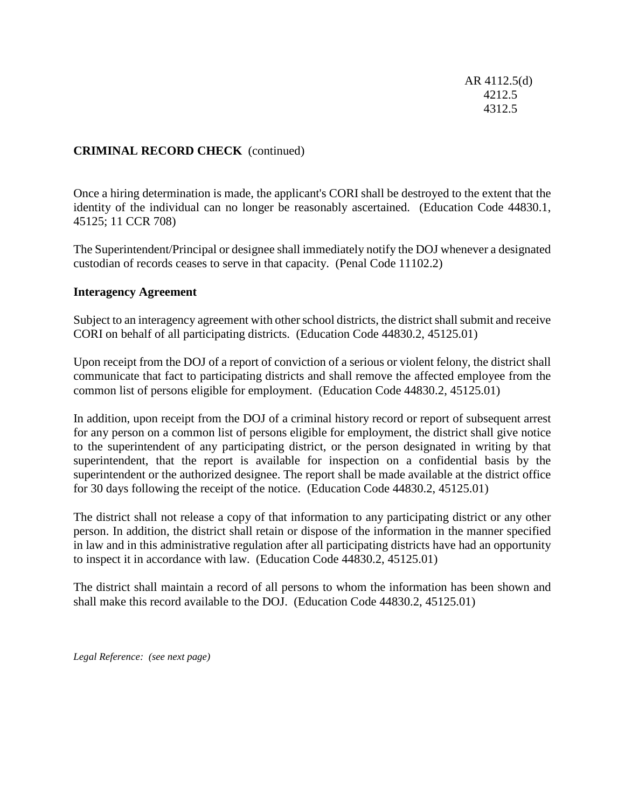AR 4112.5(d) 4212.5 4312.5

# **CRIMINAL RECORD CHECK** (continued)

Once a hiring determination is made, the applicant's CORI shall be destroyed to the extent that the identity of the individual can no longer be reasonably ascertained. (Education Code 44830.1, 45125; 11 CCR 708)

The Superintendent/Principal or designee shall immediately notify the DOJ whenever a designated custodian of records ceases to serve in that capacity. (Penal Code 11102.2)

#### **Interagency Agreement**

Subject to an interagency agreement with other school districts, the district shall submit and receive CORI on behalf of all participating districts. (Education Code 44830.2, 45125.01)

Upon receipt from the DOJ of a report of conviction of a serious or violent felony, the district shall communicate that fact to participating districts and shall remove the affected employee from the common list of persons eligible for employment. (Education Code 44830.2, 45125.01)

In addition, upon receipt from the DOJ of a criminal history record or report of subsequent arrest for any person on a common list of persons eligible for employment, the district shall give notice to the superintendent of any participating district, or the person designated in writing by that superintendent, that the report is available for inspection on a confidential basis by the superintendent or the authorized designee. The report shall be made available at the district office for 30 days following the receipt of the notice. (Education Code 44830.2, 45125.01)

The district shall not release a copy of that information to any participating district or any other person. In addition, the district shall retain or dispose of the information in the manner specified in law and in this administrative regulation after all participating districts have had an opportunity to inspect it in accordance with law. (Education Code 44830.2, 45125.01)

The district shall maintain a record of all persons to whom the information has been shown and shall make this record available to the DOJ. (Education Code 44830.2, 45125.01)

*Legal Reference: (see next page)*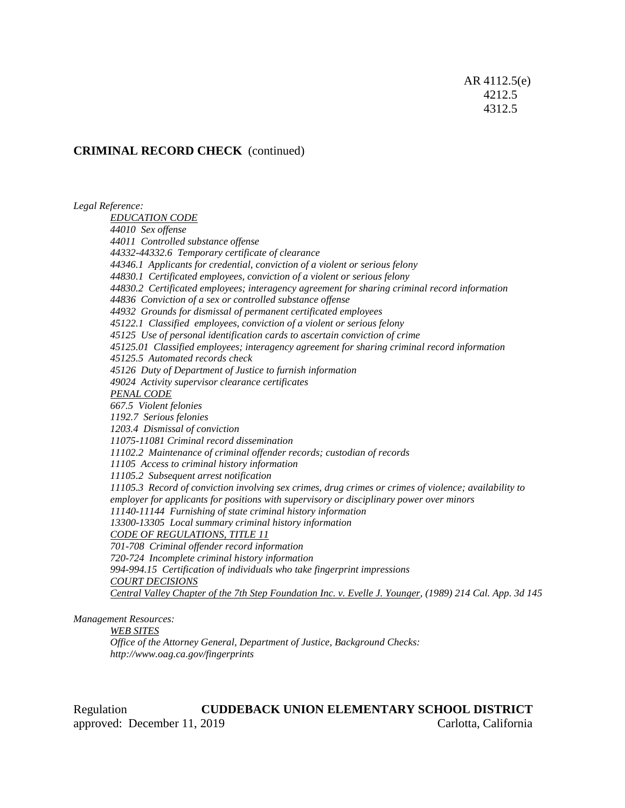AR 4112.5(e) 4212.5 4312.5

### **CRIMINAL RECORD CHECK** (continued)

*Legal Reference: EDUCATION CODE 44010 Sex offense 44011 Controlled substance offense 44332-44332.6 Temporary certificate of clearance 44346.1 Applicants for credential, conviction of a violent or serious felony 44830.1 Certificated employees, conviction of a violent or serious felony 44830.2 Certificated employees; interagency agreement for sharing criminal record information 44836 Conviction of a sex or controlled substance offense 44932 Grounds for dismissal of permanent certificated employees 45122.1 Classified employees, conviction of a violent or serious felony 45125 Use of personal identification cards to ascertain conviction of crime 45125.01 Classified employees; interagency agreement for sharing criminal record information 45125.5 Automated records check 45126 Duty of Department of Justice to furnish information 49024 Activity supervisor clearance certificates PENAL CODE 667.5 Violent felonies 1192.7 Serious felonies 1203.4 Dismissal of conviction 11075-11081 Criminal record dissemination 11102.2 Maintenance of criminal offender records; custodian of records 11105 Access to criminal history information 11105.2 Subsequent arrest notification 11105.3 Record of conviction involving sex crimes, drug crimes or crimes of violence; availability to employer for applicants for positions with supervisory or disciplinary power over minors 11140-11144 Furnishing of state criminal history information 13300-13305 Local summary criminal history information CODE OF REGULATIONS, TITLE 11 701-708 Criminal offender record information 720-724 Incomplete criminal history information 994-994.15 Certification of individuals who take fingerprint impressions COURT DECISIONS* Central Valley Chapter of the 7th Step Foundation Inc. v. Evelle J. Younger, (1989) 214 Cal. App. 3d 145

*Management Resources:*

*WEB SITES*

*Office of the Attorney General, Department of Justice, Background Checks: http://www.oag.ca.gov/fingerprints*

Regulation **CUDDEBACK UNION ELEMENTARY SCHOOL DISTRICT** approved: December 11, 2019 Carlotta, California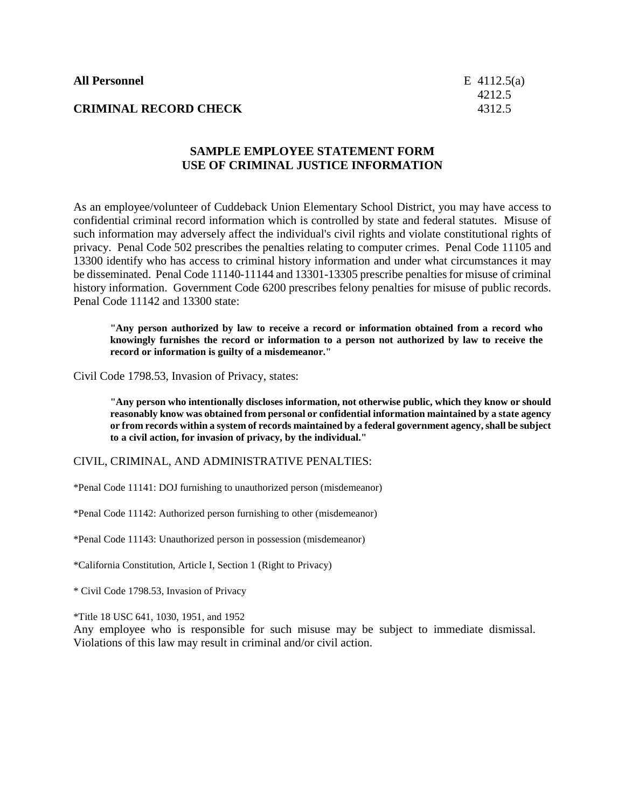### **SAMPLE EMPLOYEE STATEMENT FORM USE OF CRIMINAL JUSTICE INFORMATION**

As an employee/volunteer of Cuddeback Union Elementary School District, you may have access to confidential criminal record information which is controlled by state and federal statutes. Misuse of such information may adversely affect the individual's civil rights and violate constitutional rights of privacy. Penal Code 502 prescribes the penalties relating to computer crimes. Penal Code 11105 and 13300 identify who has access to criminal history information and under what circumstances it may be disseminated. Penal Code 11140-11144 and 13301-13305 prescribe penalties for misuse of criminal history information. Government Code 6200 prescribes felony penalties for misuse of public records. Penal Code 11142 and 13300 state:

**"Any person authorized by law to receive a record or information obtained from a record who knowingly furnishes the record or information to a person not authorized by law to receive the record or information is guilty of a misdemeanor."**

Civil Code 1798.53, Invasion of Privacy, states:

**"Any person who intentionally discloses information, not otherwise public, which they know or should reasonably know was obtained from personal or confidential information maintained by a state agency or from records within a system of records maintained by a federal government agency, shall be subject to a civil action, for invasion of privacy, by the individual."**

CIVIL, CRIMINAL, AND ADMINISTRATIVE PENALTIES:

\*Penal Code 11141: DOJ furnishing to unauthorized person (misdemeanor)

\*Penal Code 11142: Authorized person furnishing to other (misdemeanor)

\*Penal Code 11143: Unauthorized person in possession (misdemeanor)

\*California Constitution, Article I, Section 1 (Right to Privacy)

\* Civil Code 1798.53, Invasion of Privacy

\*Title 18 USC 641, 1030, 1951, and 1952

Any employee who is responsible for such misuse may be subject to immediate dismissal. Violations of this law may result in criminal and/or civil action.